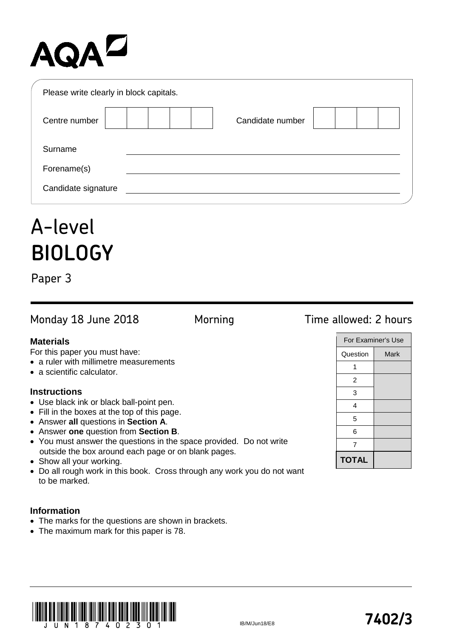# AQAZ

| Please write clearly in block capitals. |                  |
|-----------------------------------------|------------------|
| Centre number                           | Candidate number |
| Surname                                 |                  |
| Forename(s)                             |                  |
| Candidate signature                     |                  |

## A-level **BIOLOGY**

Paper 3

Monday 18 June 2018 Morning Time allowed: 2 hours

## **Materials**

For this paper you must have:

- a ruler with millimetre measurements
- a scientific calculator.

## **Instructions**

- Use black ink or black ball-point pen.
- Fill in the boxes at the top of this page.
- Answer **all** questions in **Section A**.
- Answer **one** question from **Section B**.
- You must answer the questions in the space provided. Do not write outside the box around each page or on blank pages.
- Show all your working.
- Do all rough work in this book. Cross through any work you do not want to be marked.

## **Information**

- The marks for the questions are shown in brackets.
- The maximum mark for this paper is 78.

| For Examiner's Use |      |
|--------------------|------|
| Question           | Mark |
| 1                  |      |
| 2                  |      |
| 3                  |      |
| 4                  |      |
| 5                  |      |
| 6                  |      |
| 7                  |      |
| <b>TOTAL</b>       |      |



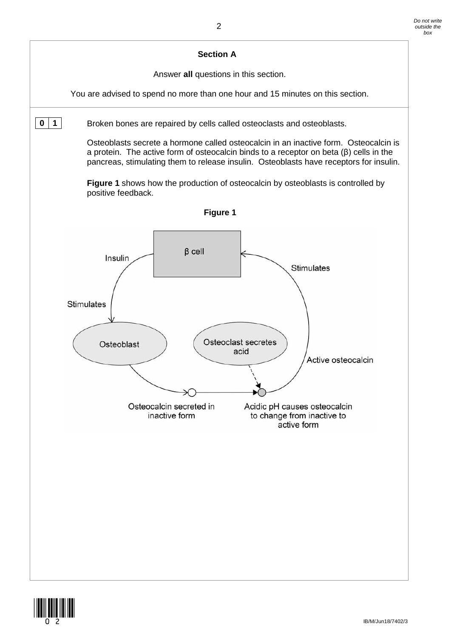### **Section A**

Answer **all** questions in this section.

You are advised to spend no more than one hour and 15 minutes on this section.

**0 1** Broken bones are repaired by cells called osteoclasts and osteoblasts. Osteoblasts secrete a hormone called osteocalcin in an inactive form. Osteocalcin is a protein. The active form of osteocalcin binds to a receptor on beta (β) cells in the pancreas, stimulating them to release insulin. Osteoblasts have receptors for insulin.

> **Figure 1** shows how the production of osteocalcin by osteoblasts is controlled by positive feedback.



\*02\*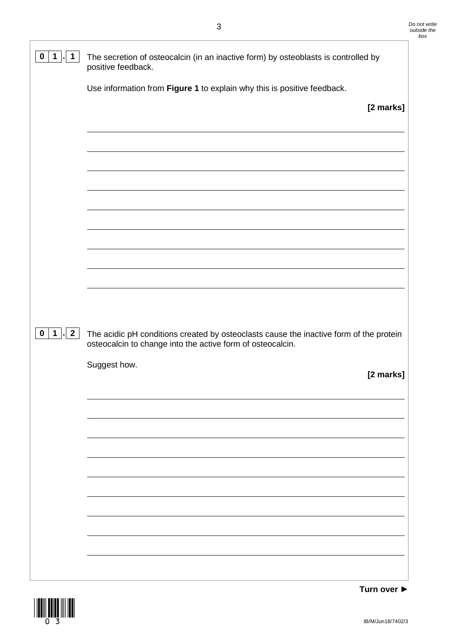| 0<br>$\mathbf 1$<br>1                      | The secretion of osteocalcin (in an inactive form) by osteoblasts is controlled by<br>positive feedback.                                             |
|--------------------------------------------|------------------------------------------------------------------------------------------------------------------------------------------------------|
|                                            | Use information from Figure 1 to explain why this is positive feedback.                                                                              |
|                                            | [2 marks]                                                                                                                                            |
|                                            |                                                                                                                                                      |
|                                            |                                                                                                                                                      |
|                                            |                                                                                                                                                      |
|                                            |                                                                                                                                                      |
|                                            |                                                                                                                                                      |
| $\mathbf{2}$<br>$1 \vert$ .<br>$\mathbf 0$ | The acidic pH conditions created by osteoclasts cause the inactive form of the protein<br>osteocalcin to change into the active form of osteocalcin. |
|                                            | Suggest how.<br>[2 marks]                                                                                                                            |
|                                            |                                                                                                                                                      |
|                                            |                                                                                                                                                      |
|                                            |                                                                                                                                                      |
|                                            |                                                                                                                                                      |
|                                            |                                                                                                                                                      |
|                                            |                                                                                                                                                      |

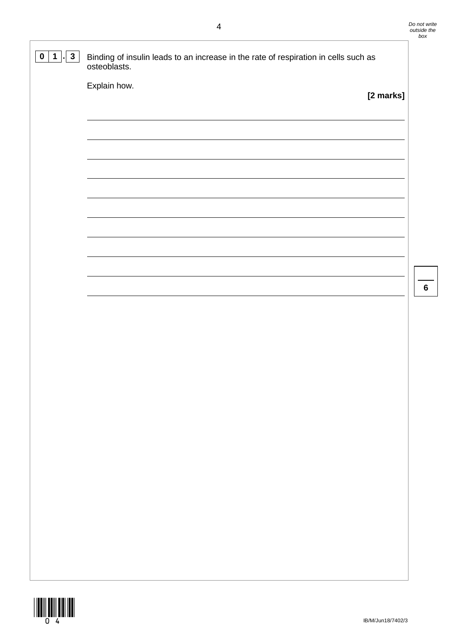| $1 \mid . \mid 3$<br>$\mathbf 0$ | Binding of insulin leads to an increase in the rate of respiration in cells such as<br>osteoblasts. |           |
|----------------------------------|-----------------------------------------------------------------------------------------------------|-----------|
|                                  | Explain how.                                                                                        | [2 marks] |
|                                  |                                                                                                     |           |
|                                  |                                                                                                     |           |
|                                  |                                                                                                     |           |
|                                  |                                                                                                     |           |
|                                  |                                                                                                     |           |
|                                  |                                                                                                     |           |
|                                  |                                                                                                     |           |
|                                  |                                                                                                     |           |
|                                  |                                                                                                     |           |
|                                  |                                                                                                     |           |
|                                  |                                                                                                     |           |
|                                  |                                                                                                     |           |
|                                  |                                                                                                     |           |
|                                  |                                                                                                     |           |
|                                  |                                                                                                     |           |
|                                  |                                                                                                     |           |
|                                  |                                                                                                     |           |
|                                  |                                                                                                     |           |
|                                  |                                                                                                     |           |
|                                  |                                                                                                     |           |
|                                  |                                                                                                     |           |

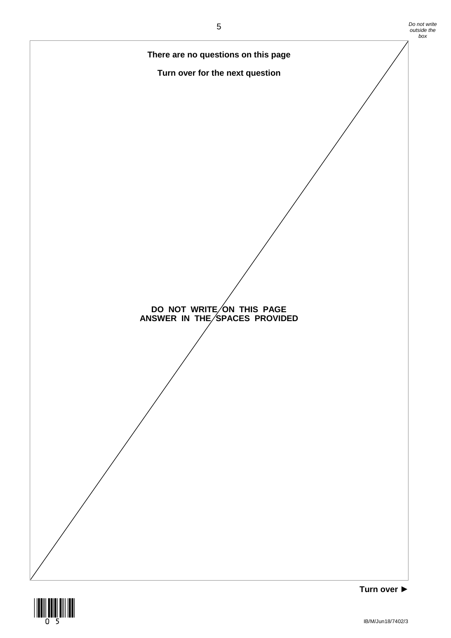



*Do not write*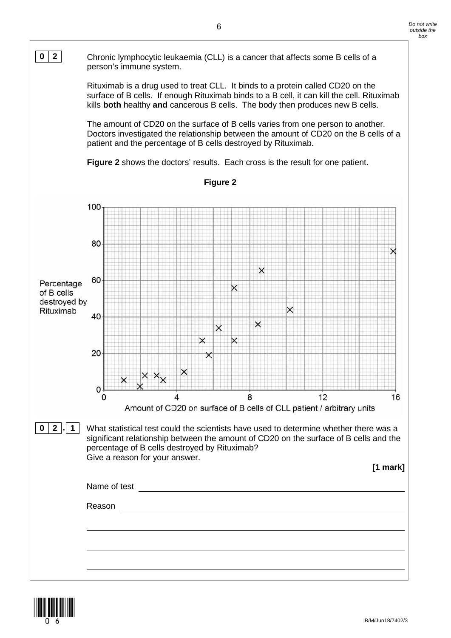

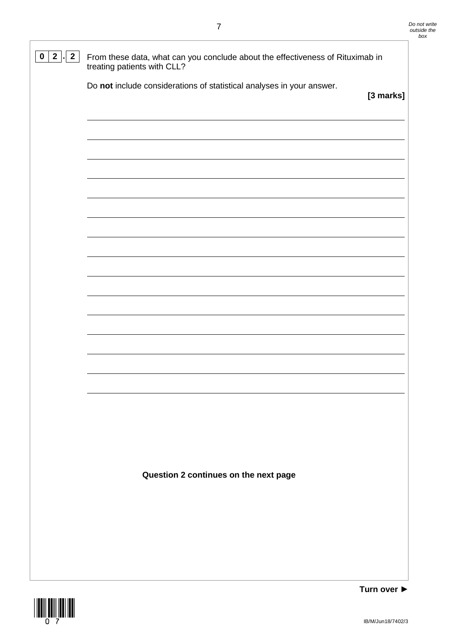| 2 <br>$\overline{2}$<br>$\mathbf 0$ | From these data, what can you conclude about the effectiveness of Rituximab in<br>treating patients with CLL? |           |
|-------------------------------------|---------------------------------------------------------------------------------------------------------------|-----------|
|                                     | Do not include considerations of statistical analyses in your answer.                                         | [3 marks] |
|                                     |                                                                                                               |           |
|                                     |                                                                                                               |           |
|                                     |                                                                                                               |           |
|                                     |                                                                                                               |           |
|                                     |                                                                                                               |           |
|                                     |                                                                                                               |           |
|                                     |                                                                                                               |           |
|                                     |                                                                                                               |           |
|                                     |                                                                                                               |           |
|                                     |                                                                                                               |           |
|                                     |                                                                                                               |           |
|                                     | Question 2 continues on the next page                                                                         |           |
|                                     |                                                                                                               |           |
|                                     |                                                                                                               |           |
|                                     |                                                                                                               |           |

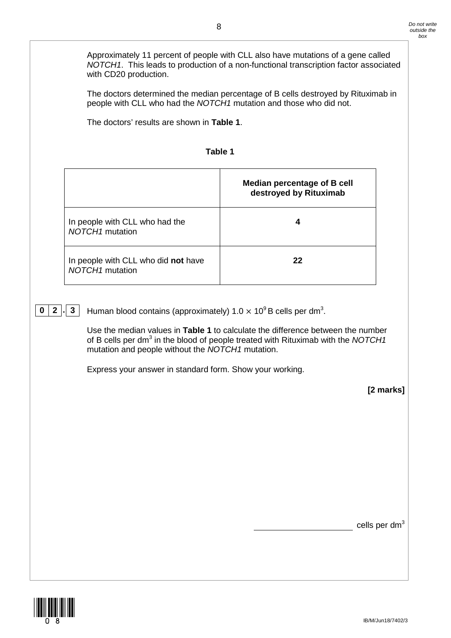

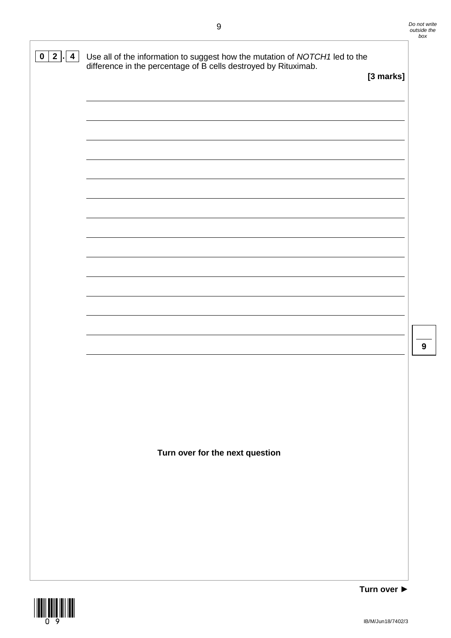| $2$ .<br>$\overline{\mathbf{4}}$<br>$\mathbf 0$ | Use all of the information to suggest how the mutation of NOTCH1 led to the<br>difference in the percentage of B cells destroyed by Rituximab. | [3 marks] |
|-------------------------------------------------|------------------------------------------------------------------------------------------------------------------------------------------------|-----------|
|                                                 |                                                                                                                                                |           |
|                                                 |                                                                                                                                                |           |
|                                                 |                                                                                                                                                |           |
|                                                 |                                                                                                                                                |           |
|                                                 |                                                                                                                                                |           |
|                                                 |                                                                                                                                                |           |
|                                                 |                                                                                                                                                |           |
|                                                 |                                                                                                                                                |           |
|                                                 |                                                                                                                                                |           |
|                                                 |                                                                                                                                                |           |
|                                                 |                                                                                                                                                |           |
|                                                 |                                                                                                                                                |           |
|                                                 |                                                                                                                                                |           |
|                                                 | Turn over for the next question                                                                                                                |           |
|                                                 |                                                                                                                                                |           |
|                                                 |                                                                                                                                                |           |
|                                                 |                                                                                                                                                |           |
|                                                 |                                                                                                                                                |           |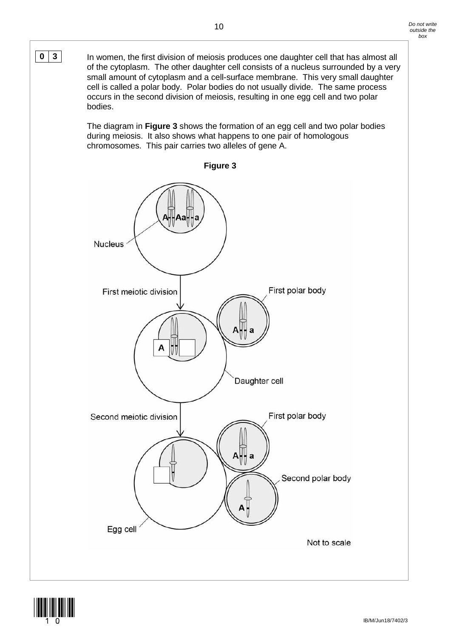**0** | **3** | In women, the first division of meiosis produces one daughter cell that has almost all of the cytoplasm. The other daughter cell consists of a nucleus surrounded by a very small amount of cytoplasm and a cell-surface membrane. This very small daughter cell is called a polar body. Polar bodies do not usually divide. The same process occurs in the second division of meiosis, resulting in one egg cell and two polar bodies.

> The diagram in **Figure 3** shows the formation of an egg cell and two polar bodies during meiosis. It also shows what happens to one pair of homologous chromosomes. This pair carries two alleles of gene A.



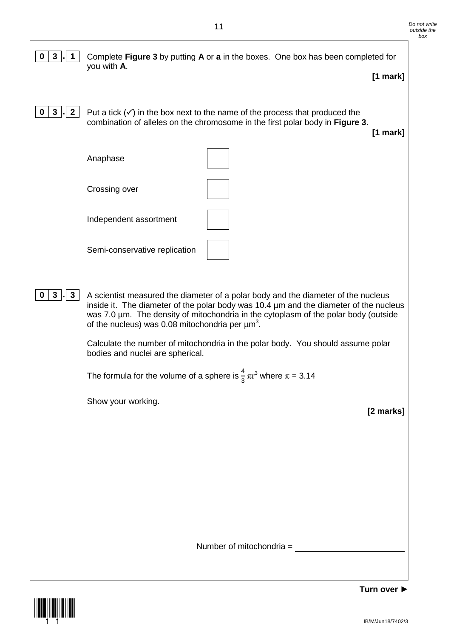| Complete Figure 3 by putting A or a in the boxes. One box has been completed for<br>you with A.                                                                                                                                                                                                                                                                                                                                                                                                                                                   |            |
|---------------------------------------------------------------------------------------------------------------------------------------------------------------------------------------------------------------------------------------------------------------------------------------------------------------------------------------------------------------------------------------------------------------------------------------------------------------------------------------------------------------------------------------------------|------------|
|                                                                                                                                                                                                                                                                                                                                                                                                                                                                                                                                                   | $[1$ mark] |
| Put a tick $(\checkmark)$ in the box next to the name of the process that produced the<br>combination of alleles on the chromosome in the first polar body in Figure 3.                                                                                                                                                                                                                                                                                                                                                                           | $[1$ mark] |
| Anaphase                                                                                                                                                                                                                                                                                                                                                                                                                                                                                                                                          |            |
| Crossing over                                                                                                                                                                                                                                                                                                                                                                                                                                                                                                                                     |            |
| Independent assortment                                                                                                                                                                                                                                                                                                                                                                                                                                                                                                                            |            |
| Semi-conservative replication                                                                                                                                                                                                                                                                                                                                                                                                                                                                                                                     |            |
| A scientist measured the diameter of a polar body and the diameter of the nucleus<br>inside it. The diameter of the polar body was 10.4 um and the diameter of the nucleus<br>was 7.0 um. The density of mitochondria in the cytoplasm of the polar body (outside<br>of the nucleus) was 0.08 mitochondria per $\mu$ m <sup>3</sup> .<br>Calculate the number of mitochondria in the polar body. You should assume polar<br>bodies and nuclei are spherical.<br>The formula for the volume of a sphere is $\frac{4}{5}\pi r^3$ where $\pi = 3.14$ |            |
| Show your working.                                                                                                                                                                                                                                                                                                                                                                                                                                                                                                                                | [2 marks]  |
|                                                                                                                                                                                                                                                                                                                                                                                                                                                                                                                                                   |            |
|                                                                                                                                                                                                                                                                                                                                                                                                                                                                                                                                                   |            |
|                                                                                                                                                                                                                                                                                                                                                                                                                                                                                                                                                   |            |
|                                                                                                                                                                                                                                                                                                                                                                                                                                                                                                                                                   |            |
| Number of mitochondria = $\qquad \qquad$                                                                                                                                                                                                                                                                                                                                                                                                                                                                                                          |            |
|                                                                                                                                                                                                                                                                                                                                                                                                                                                                                                                                                   |            |
|                                                                                                                                                                                                                                                                                                                                                                                                                                                                                                                                                   |            |

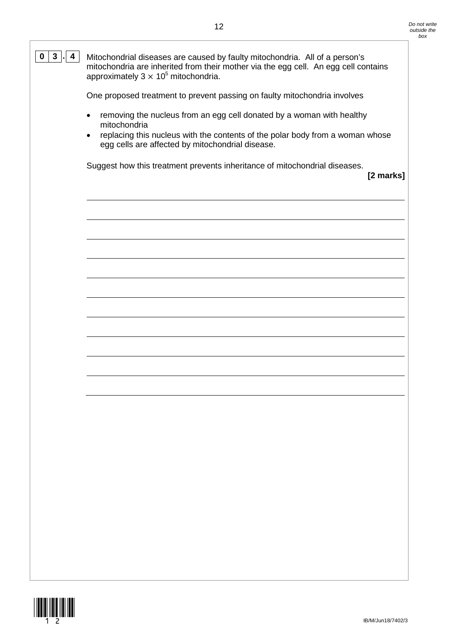**0 3 . 4** Mitochondrial diseases are caused by faulty mitochondria. All of a person's mitochondria are inherited from their mother via the egg cell. An egg cell contains approximately  $3 \times 10^5$  mitochondria.

One proposed treatment to prevent passing on faulty mitochondria involves

- removing the nucleus from an egg cell donated by a woman with healthy mitochondria
- replacing this nucleus with the contents of the polar body from a woman whose egg cells are affected by mitochondrial disease.

Suggest how this treatment prevents inheritance of mitochondrial diseases.

**[2 marks]**

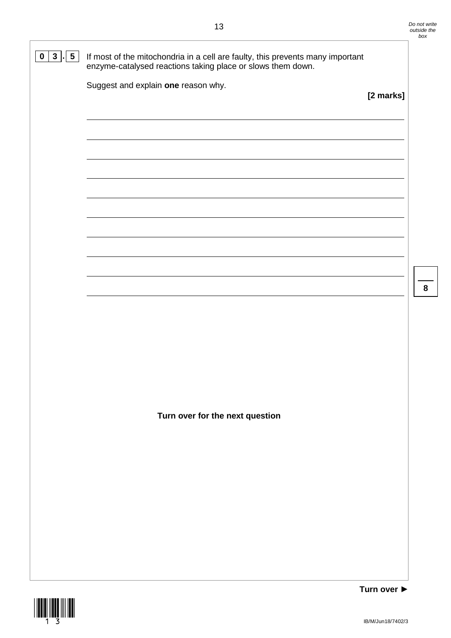

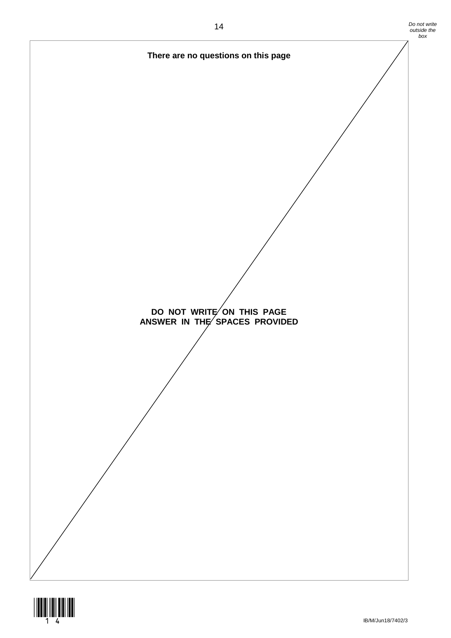

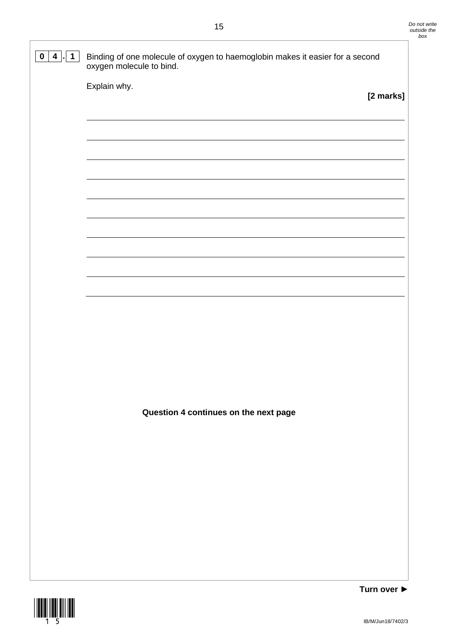**0** 4 **1** 

**Question 4 continues on the next page**

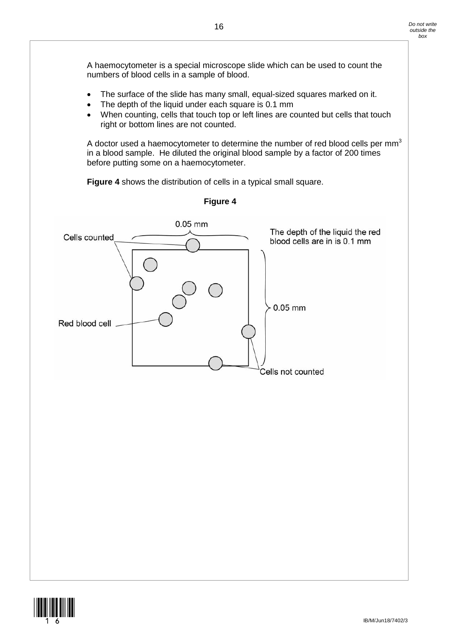A haemocytometer is a special microscope slide which can be used to count the numbers of blood cells in a sample of blood.

- The surface of the slide has many small, equal-sized squares marked on it.
- The depth of the liquid under each square is 0.1 mm
- When counting, cells that touch top or left lines are counted but cells that touch right or bottom lines are not counted.

A doctor used a haemocytometer to determine the number of red blood cells per  $mm<sup>3</sup>$ in a blood sample. He diluted the original blood sample by a factor of 200 times before putting some on a haemocytometer.

**Figure 4** shows the distribution of cells in a typical small square.



## **Figure 4**

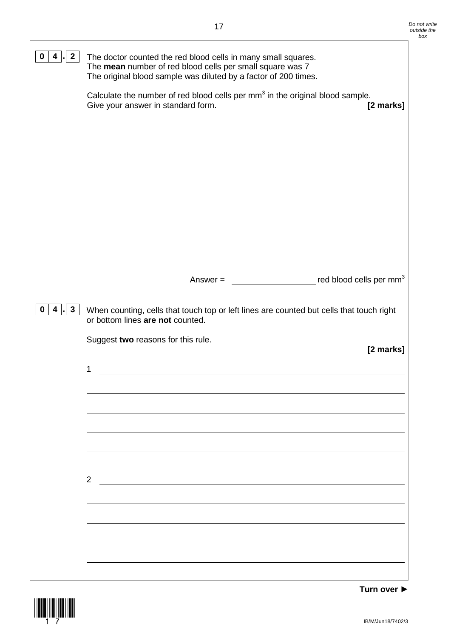| $\mathbf{2}$<br>0<br>4 | The doctor counted the red blood cells in many small squares.<br>The mean number of red blood cells per small square was 7<br>The original blood sample was diluted by a factor of 200 times.<br>Calculate the number of red blood cells per mm <sup>3</sup> in the original blood sample.<br>Give your answer in standard form.<br>[2 marks] |
|------------------------|-----------------------------------------------------------------------------------------------------------------------------------------------------------------------------------------------------------------------------------------------------------------------------------------------------------------------------------------------|
| $\mathbf{3}$<br>0<br>4 | red blood cells per mm $^3$<br>Answer $=$<br>When counting, cells that touch top or left lines are counted but cells that touch right                                                                                                                                                                                                         |
|                        | or bottom lines are not counted.<br>Suggest two reasons for this rule.<br>[2 marks]<br>1                                                                                                                                                                                                                                                      |
|                        |                                                                                                                                                                                                                                                                                                                                               |
|                        | $\overline{2}$                                                                                                                                                                                                                                                                                                                                |
|                        |                                                                                                                                                                                                                                                                                                                                               |

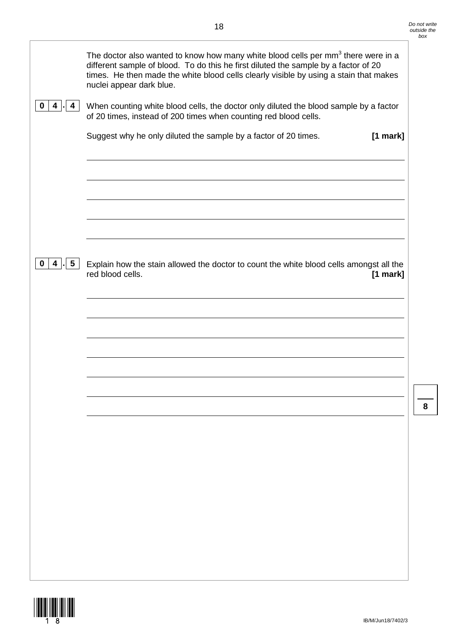| 4<br>$\mathbf 0$<br>4     | The doctor also wanted to know how many white blood cells per mm <sup>3</sup> there were in a<br>different sample of blood. To do this he first diluted the sample by a factor of 20<br>times. He then made the white blood cells clearly visible by using a stain that makes<br>nuclei appear dark blue.<br>When counting white blood cells, the doctor only diluted the blood sample by a factor |  |  |
|---------------------------|----------------------------------------------------------------------------------------------------------------------------------------------------------------------------------------------------------------------------------------------------------------------------------------------------------------------------------------------------------------------------------------------------|--|--|
|                           | of 20 times, instead of 200 times when counting red blood cells.                                                                                                                                                                                                                                                                                                                                   |  |  |
|                           | Suggest why he only diluted the sample by a factor of 20 times.<br>$[1$ mark]                                                                                                                                                                                                                                                                                                                      |  |  |
|                           |                                                                                                                                                                                                                                                                                                                                                                                                    |  |  |
|                           |                                                                                                                                                                                                                                                                                                                                                                                                    |  |  |
|                           |                                                                                                                                                                                                                                                                                                                                                                                                    |  |  |
|                           |                                                                                                                                                                                                                                                                                                                                                                                                    |  |  |
|                           |                                                                                                                                                                                                                                                                                                                                                                                                    |  |  |
| $5\overline{)}$<br>0<br>4 | Explain how the stain allowed the doctor to count the white blood cells amongst all the<br>red blood cells.<br>$[1$ mark]                                                                                                                                                                                                                                                                          |  |  |
|                           |                                                                                                                                                                                                                                                                                                                                                                                                    |  |  |
|                           |                                                                                                                                                                                                                                                                                                                                                                                                    |  |  |
|                           |                                                                                                                                                                                                                                                                                                                                                                                                    |  |  |
|                           |                                                                                                                                                                                                                                                                                                                                                                                                    |  |  |
|                           |                                                                                                                                                                                                                                                                                                                                                                                                    |  |  |
|                           |                                                                                                                                                                                                                                                                                                                                                                                                    |  |  |
|                           |                                                                                                                                                                                                                                                                                                                                                                                                    |  |  |
|                           |                                                                                                                                                                                                                                                                                                                                                                                                    |  |  |
|                           |                                                                                                                                                                                                                                                                                                                                                                                                    |  |  |
|                           |                                                                                                                                                                                                                                                                                                                                                                                                    |  |  |
|                           |                                                                                                                                                                                                                                                                                                                                                                                                    |  |  |
|                           |                                                                                                                                                                                                                                                                                                                                                                                                    |  |  |
|                           |                                                                                                                                                                                                                                                                                                                                                                                                    |  |  |
|                           |                                                                                                                                                                                                                                                                                                                                                                                                    |  |  |
|                           |                                                                                                                                                                                                                                                                                                                                                                                                    |  |  |

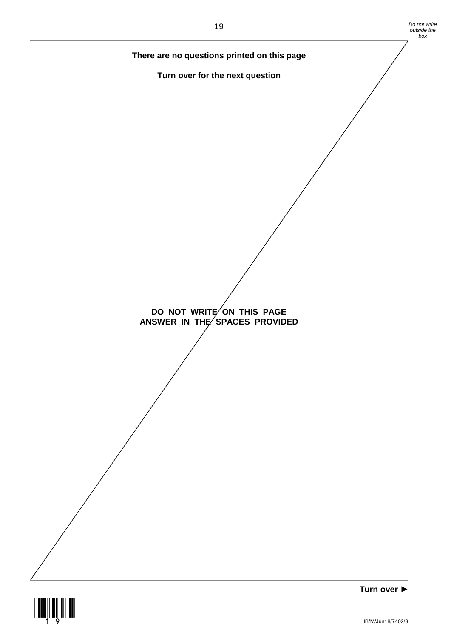

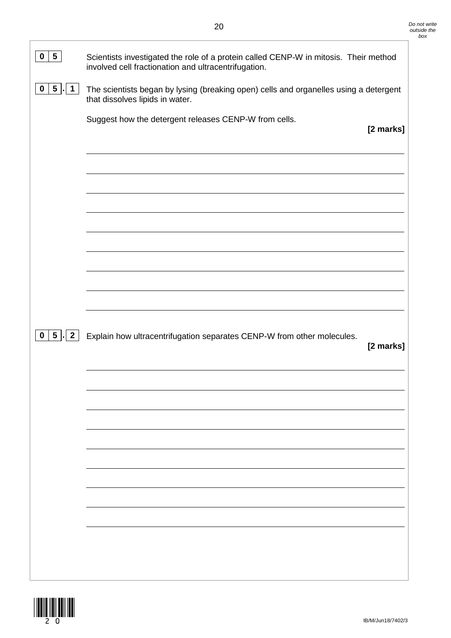| $5\overline{)}$<br>0                             | Scientists investigated the role of a protein called CENP-W in mitosis. Their method<br>involved cell fractionation and ultracentrifugation. |           |
|--------------------------------------------------|----------------------------------------------------------------------------------------------------------------------------------------------|-----------|
| $5$ .<br>$\mathbf 0$<br>$\mathbf 1$              | The scientists began by lysing (breaking open) cells and organelles using a detergent<br>that dissolves lipids in water.                     |           |
|                                                  | Suggest how the detergent releases CENP-W from cells.                                                                                        | [2 marks] |
|                                                  |                                                                                                                                              |           |
|                                                  |                                                                                                                                              |           |
|                                                  |                                                                                                                                              |           |
|                                                  |                                                                                                                                              |           |
| 5 <sup>1</sup><br>$\overline{2}$<br>$\mathbf{0}$ | Explain how ultracentrifugation separates CENP-W from other molecules.                                                                       | [2 marks] |
|                                                  |                                                                                                                                              |           |
|                                                  |                                                                                                                                              |           |
|                                                  |                                                                                                                                              |           |
|                                                  |                                                                                                                                              |           |
|                                                  |                                                                                                                                              |           |

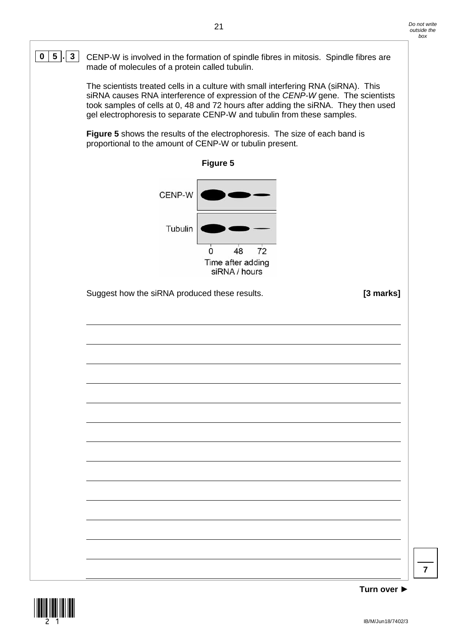## **0 5**  $\cdot$  **3** CENP-W is involved in the formation of spindle fibres in mitosis. Spindle fibres are made of molecules of a protein called tubulin.

The scientists treated cells in a culture with small interfering RNA (siRNA). This siRNA causes RNA interference of expression of the *CENP-W* gene. The scientists took samples of cells at 0, 48 and 72 hours after adding the siRNA. They then used gel electrophoresis to separate CENP-W and tubulin from these samples.



**7**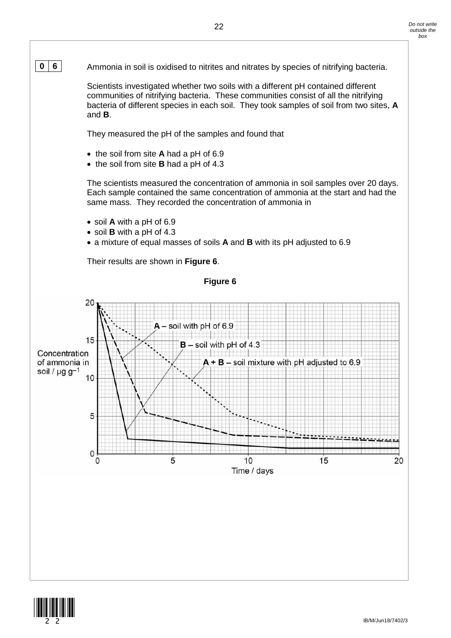**0 6**  $\vert$  **6** Ammonia in soil is oxidised to nitrites and nitrates by species of nitrifying bacteria. Scientists investigated whether two soils with a different pH contained different communities of nitrifying bacteria. These communities consist of all the nitrifying bacteria of different species in each soil. They took samples of soil from two sites, **A**  and **B**. They measured the pH of the samples and found that • the soil from site **A** had a pH of 6.9 • the soil from site **B** had a pH of 4.3 The scientists measured the concentration of ammonia in soil samples over 20 days. Each sample contained the same concentration of ammonia at the start and had the same mass. They recorded the concentration of ammonia in • soil **A** with a pH of 6.9 • soil **B** with a pH of 4.3 • a mixture of equal masses of soils **A** and **B** with its pH adjusted to 6.9 Their results are shown in **Figure 6**. **Figure 6**20 - soil with pH of 6.9 15  $B -$  soil with pH of 4.3 Concentration of ammonia in  $A + B -$  soil mixture with pH adjusted to 6.9 soil /  $\mu$ g g<sup>-1</sup> 10 5 0  $\overline{5}$  $20$  $10$  $15$  $\mathbf{0}$ Time / days

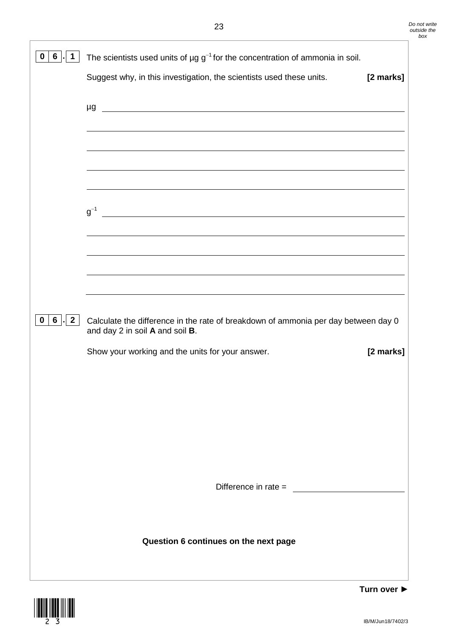| $\mathbf 0$<br>6 <sup>1</sup><br>$\mathbf 1$ | The scientists used units of $\mu$ g g <sup>-1</sup> for the concentration of ammonia in soil.                                                                                                       |           |
|----------------------------------------------|------------------------------------------------------------------------------------------------------------------------------------------------------------------------------------------------------|-----------|
|                                              | Suggest why, in this investigation, the scientists used these units.                                                                                                                                 | [2 marks] |
|                                              | μg<br><u> 1989 - Johann Stoff, fransk kongresu og den større og den større og den som for de større og den s</u><br>,我们也不会有一个人的人,我们也不会有一个人的人,我们也不会有一个人的人。""我们,我们也不会有一个人的人,我们也不会有一个人的人,我们也不会有一个人的人,我们 |           |
|                                              |                                                                                                                                                                                                      |           |
|                                              | the contract of the contract of the contract of the contract of the contract of the contract of the contract of                                                                                      |           |
|                                              |                                                                                                                                                                                                      |           |
|                                              | $g^{-1}$<br><u> 1989 - Johann Barn, fransk politik (d. 1989)</u>                                                                                                                                     |           |
|                                              |                                                                                                                                                                                                      |           |
|                                              |                                                                                                                                                                                                      |           |
|                                              |                                                                                                                                                                                                      |           |
|                                              | <u> 1989 - Johann Stoff, deutscher Stoffen und der Stoffen und der Stoffen und der Stoffen und der Stoffen und der</u>                                                                               |           |
| $6 \mid 2$<br>$\mathbf 0$                    | Calculate the difference in the rate of breakdown of ammonia per day between day 0<br>and day 2 in soil A and soil B.                                                                                |           |
|                                              | Show your working and the units for your answer.                                                                                                                                                     | [2 marks] |
|                                              |                                                                                                                                                                                                      |           |
|                                              |                                                                                                                                                                                                      |           |
|                                              |                                                                                                                                                                                                      |           |
|                                              |                                                                                                                                                                                                      |           |
|                                              |                                                                                                                                                                                                      |           |
|                                              | Difference in rate $=$                                                                                                                                                                               |           |
|                                              |                                                                                                                                                                                                      |           |
|                                              |                                                                                                                                                                                                      |           |
|                                              | Question 6 continues on the next page                                                                                                                                                                |           |
|                                              |                                                                                                                                                                                                      |           |

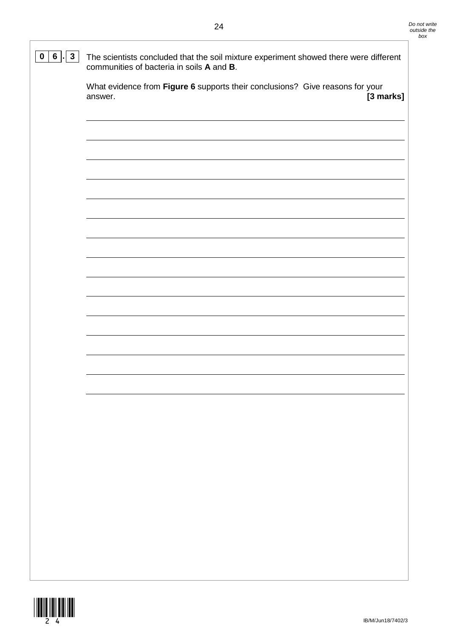| 3<br>6 .<br>$\mathbf 0$ | The scientists concluded that the soil mixture experiment showed there were different<br>communities of bacteria in soils A and B. |  |  |
|-------------------------|------------------------------------------------------------------------------------------------------------------------------------|--|--|
|                         | What evidence from Figure 6 supports their conclusions? Give reasons for your<br>[3 marks]<br>answer.                              |  |  |
|                         |                                                                                                                                    |  |  |
|                         |                                                                                                                                    |  |  |
|                         |                                                                                                                                    |  |  |
|                         |                                                                                                                                    |  |  |
|                         |                                                                                                                                    |  |  |
|                         |                                                                                                                                    |  |  |
|                         |                                                                                                                                    |  |  |
|                         |                                                                                                                                    |  |  |
|                         |                                                                                                                                    |  |  |
|                         |                                                                                                                                    |  |  |
|                         |                                                                                                                                    |  |  |
|                         |                                                                                                                                    |  |  |
|                         |                                                                                                                                    |  |  |
|                         |                                                                                                                                    |  |  |
|                         |                                                                                                                                    |  |  |

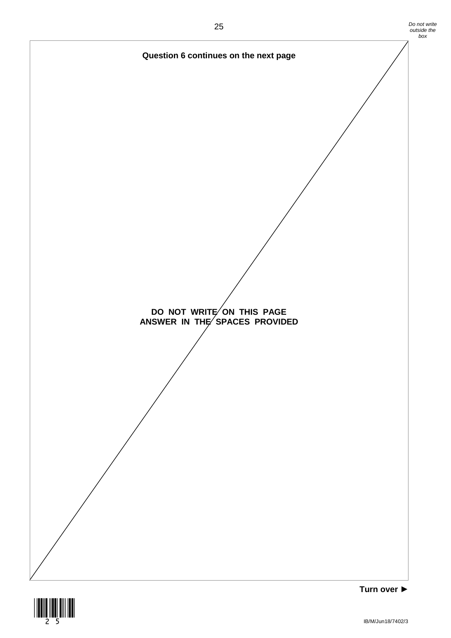



IB/M/Jun18/7402/3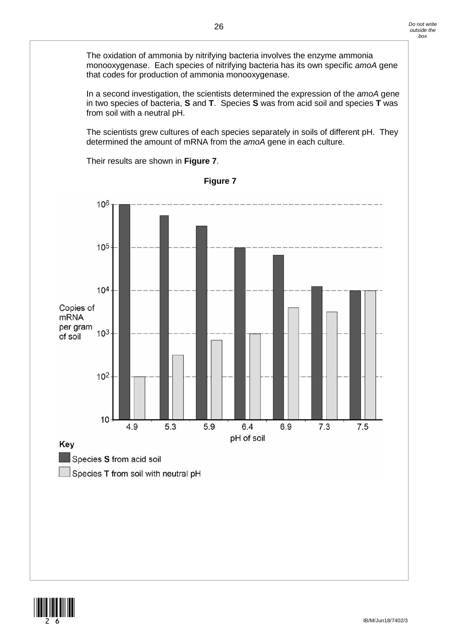The oxidation of ammonia by nitrifying bacteria involves the enzyme ammonia monooxygenase. Each species of nitrifying bacteria has its own specific *amoA* gene that codes for production of ammonia monooxygenase.

In a second investigation, the scientists determined the expression of the *amoA* gene in two species of bacteria, **S** and **T**. Species **S** was from acid soil and species **T** was from soil with a neutral pH.

The scientists grew cultures of each species separately in soils of different pH. They determined the amount of mRNA from the *amoA* gene in each culture.



Their results are shown in **Figure 7**.

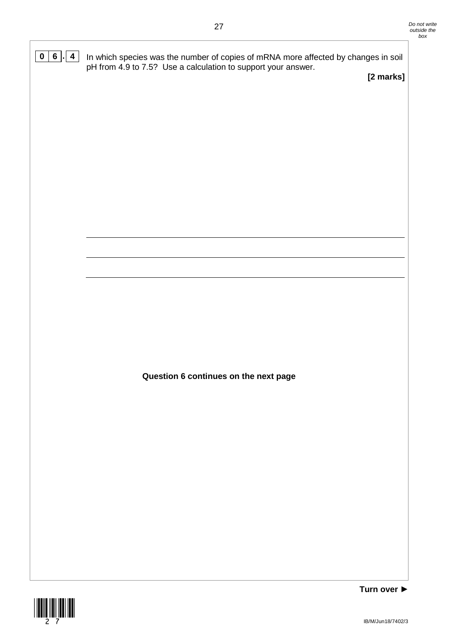

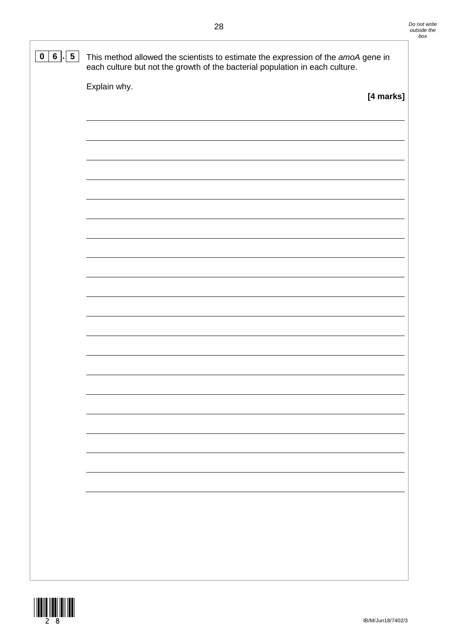**0 6 . 5** This method allowed the scientists to estimate the expression of the *amoA* gene in each culture but not the growth of the bacterial population in each culture. Explain why. **[4 marks]**

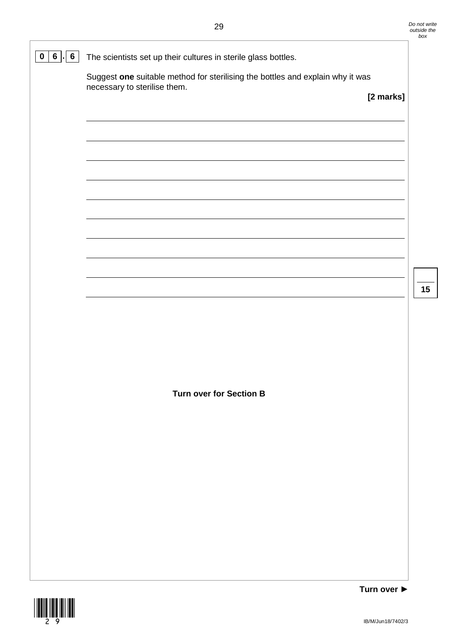



IB/M/Jun18/7402/3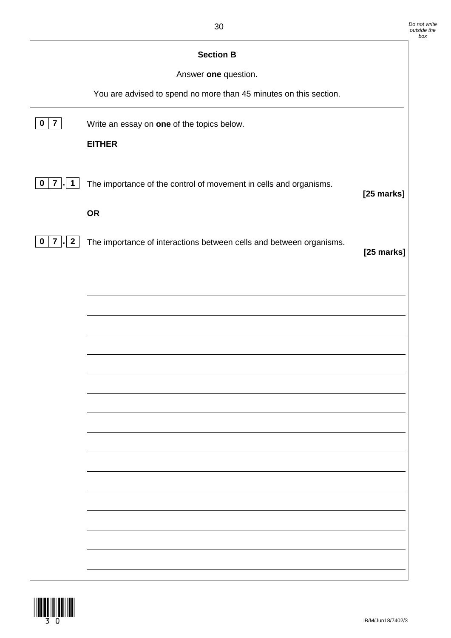|                                                        | <b>Section B</b>                                                               |            |
|--------------------------------------------------------|--------------------------------------------------------------------------------|------------|
|                                                        | Answer one question.                                                           |            |
|                                                        | You are advised to spend no more than 45 minutes on this section.              |            |
| $\overline{7}$<br>$\mathbf 0$                          | Write an essay on one of the topics below.<br><b>EITHER</b>                    |            |
| $\mathbf 0$<br>$\overline{7}$<br>$\mathbf 1$           | The importance of the control of movement in cells and organisms.<br><b>OR</b> | [25 marks] |
| $\mathbf{2}$<br>$\mathbf 0$<br>$\overline{\mathbf{7}}$ | The importance of interactions between cells and between organisms.            | [25 marks] |
|                                                        |                                                                                |            |
|                                                        |                                                                                |            |
|                                                        |                                                                                |            |
|                                                        |                                                                                |            |
|                                                        |                                                                                |            |
|                                                        |                                                                                |            |
|                                                        |                                                                                |            |

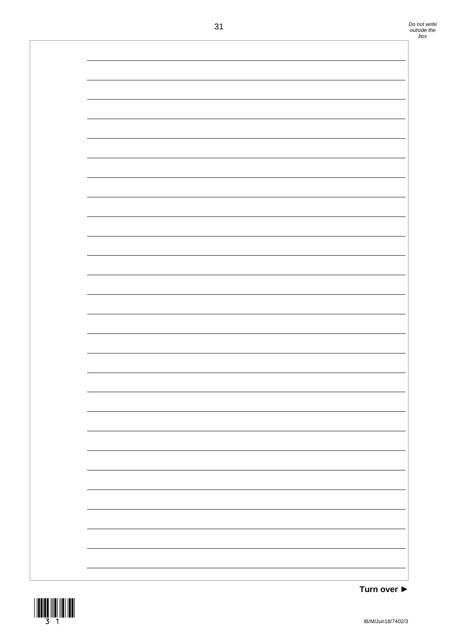

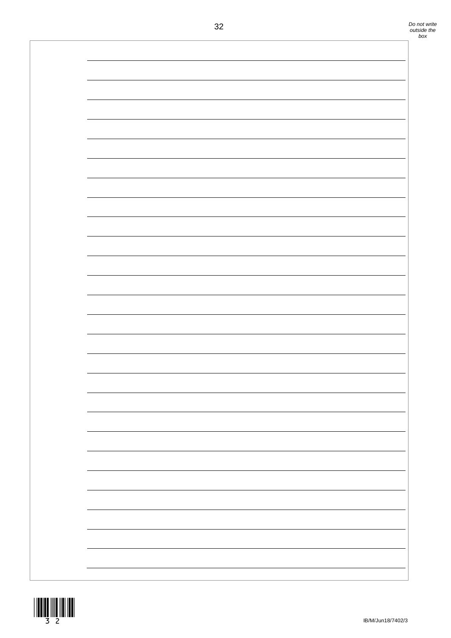

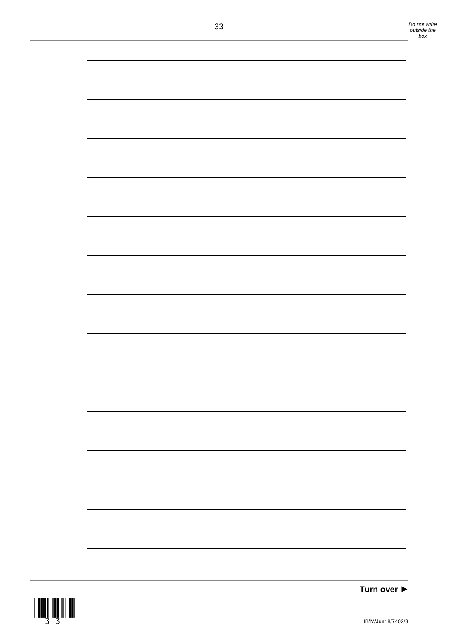



IB/M/Jun18/7402/3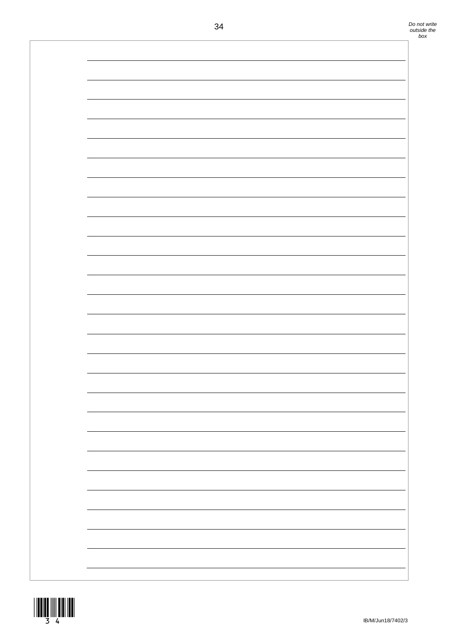

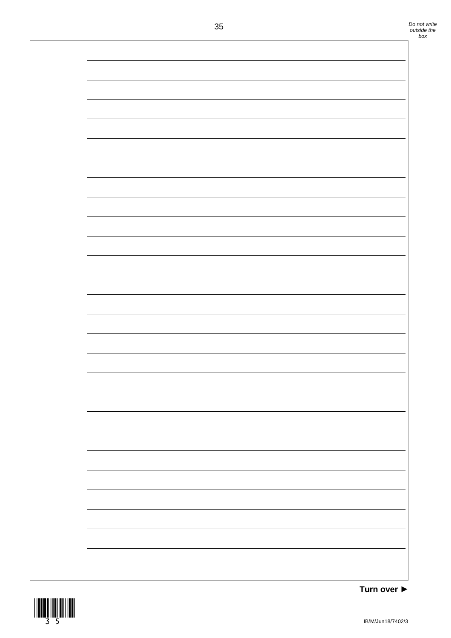



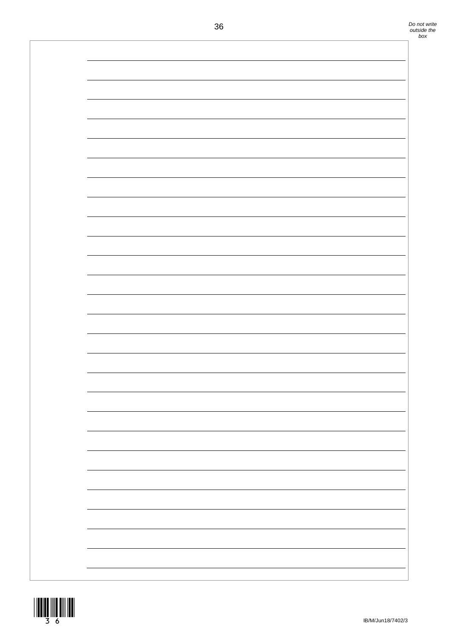

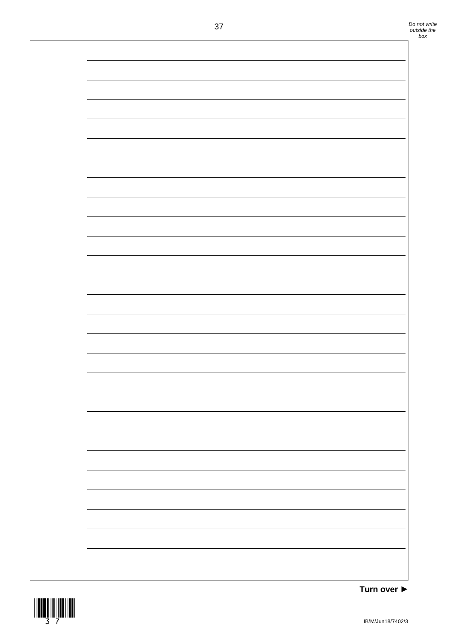



IB/M/Jun18/7402/3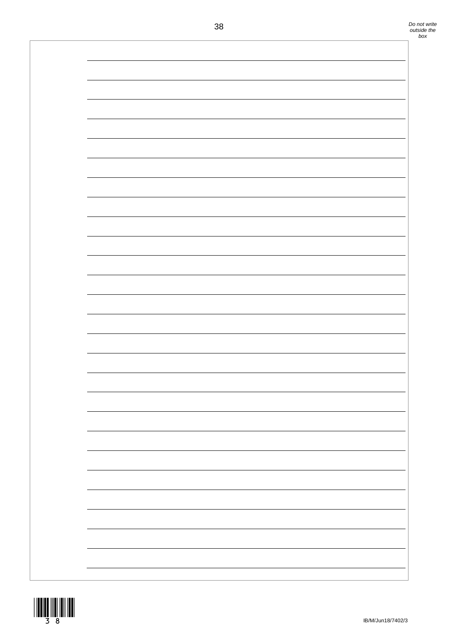

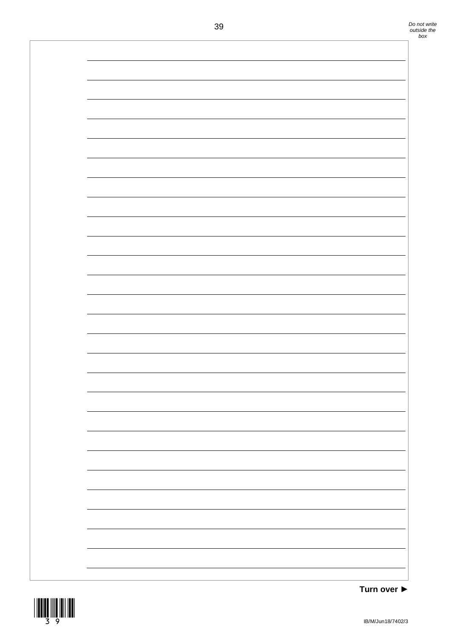



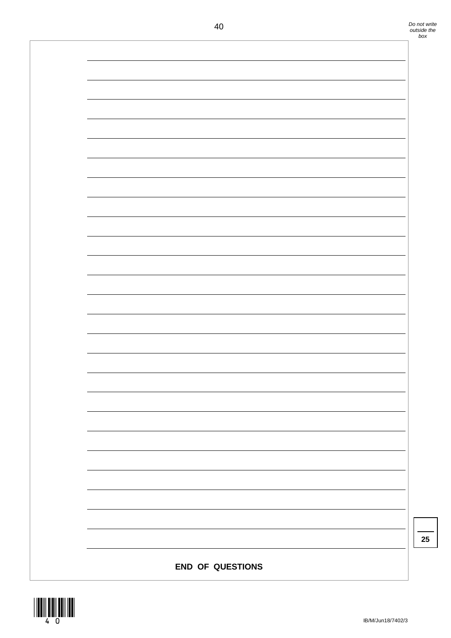

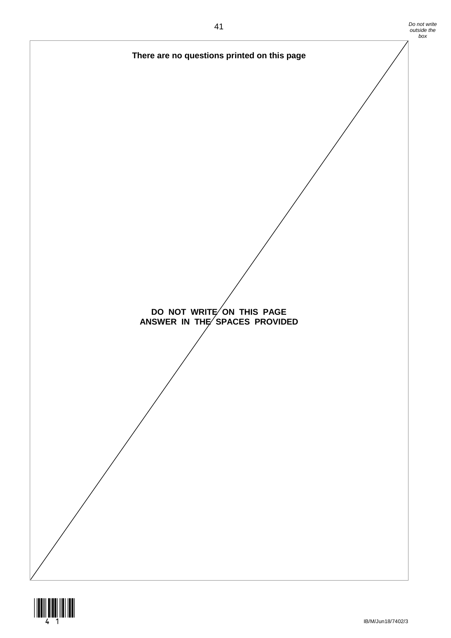

![](_page_40_Picture_2.jpeg)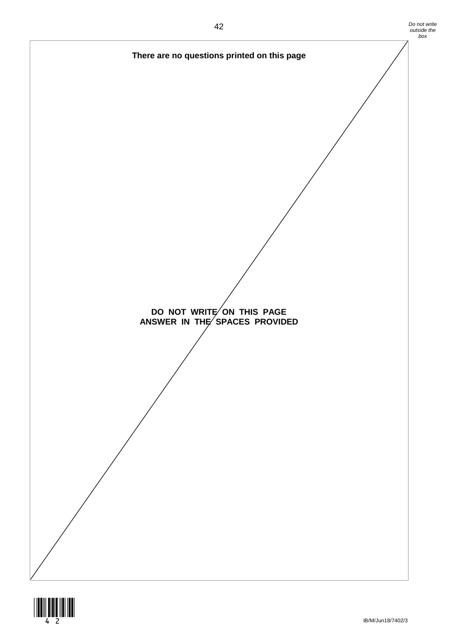![](_page_41_Figure_1.jpeg)

![](_page_41_Picture_2.jpeg)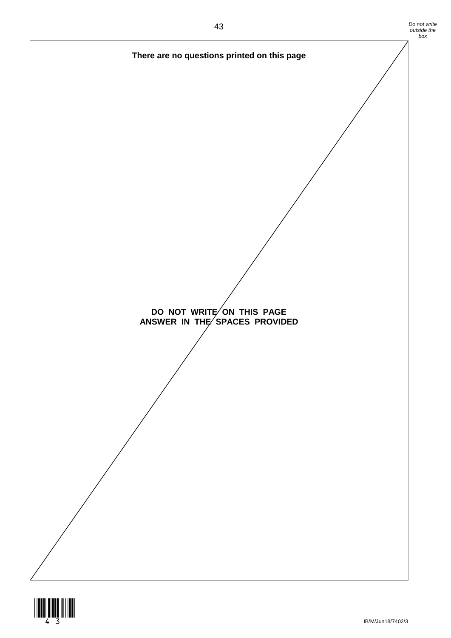![](_page_42_Figure_1.jpeg)

![](_page_42_Picture_2.jpeg)